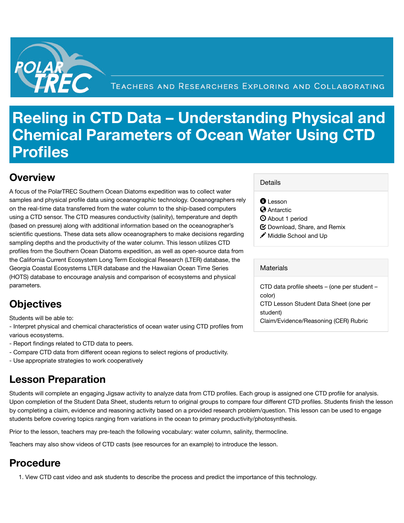

# **Reeling in CTD Data – Understanding Physical and Chemical Parameters of Ocean Water Using CTD Profiles**

### **Overview**

A focus of the PolarTREC Southern Ocean Diatoms expedition was to collect water samples and physical profile data using oceanographic technology. Oceanographers rely on the real-time data transferred from the water column to the ship-based computers using a CTD sensor. The CTD measures conductivity (salinity), temperature and depth (based on pressure) along with additional information based on the oceanographer's scientific questions. These data sets allow oceanographers to make decisions regarding sampling depths and the productivity of the water column. This lesson utilizes CTD profiles from the Southern Ocean Diatoms expedition, as well as open-source data from the California Current Ecosystem Long Term Ecological Research (LTER) database, the Georgia Coastal Ecosystems LTER database and the Hawaiian Ocean Time Series (HOTS) database to encourage analysis and comparison of ecosystems and physical parameters.

#### **Details**

 $\bm{\Theta}$  Lesson

**A** Antarctic

- About 1 period
- $\bm{\mathfrak{S}}$  Download, Share, and Remix
- Middle School and Up ✏

#### **Materials**

CTD data profile sheets – (one per student – color) CTD Lesson Student Data Sheet (one per student) Claim/Evidence/Reasoning (CER) Rubric

# **Objectives**

Students will be able to:

- Interpret physical and chemical characteristics of ocean water using CTD profiles from various ecosystems.

- Report findings related to CTD data to peers.
- Compare CTD data from different ocean regions to select regions of productivity.
- Use appropriate strategies to work cooperatively

# **Lesson Preparation**

Students will complete an engaging Jigsaw activity to analyze data from CTD profiles. Each group is assigned one CTD profile for analysis. Upon completion of the Student Data Sheet, students return to original groups to compare four different CTD profiles. Students finish the lesson by completing a claim, evidence and reasoning activity based on a provided research problem/question. This lesson can be used to engage students before covering topics ranging from variations in the ocean to primary productivity/photosynthesis.

Prior to the lesson, teachers may pre-teach the following vocabulary: water column, salinity, thermocline.

Teachers may also show videos of CTD casts (see resources for an example) to introduce the lesson.

# **Procedure**

1. View CTD cast video and ask students to describe the process and predict the importance of this technology.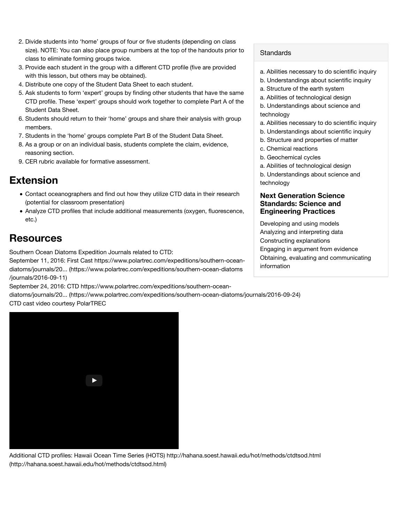- 2. Divide students into 'home' groups of four or five students (depending on class size). NOTE: You can also place group numbers at the top of the handouts prior to class to eliminate forming groups twice.
- 3. Provide each student in the group with a different CTD profile (five are provided with this lesson, but others may be obtained).
- 4. Distribute one copy of the Student Data Sheet to each student.
- 5. Ask students to form 'expert' groups by finding other students that have the same CTD profile. These 'expert' groups should work together to complete Part A of the Student Data Sheet.
- Students should return to their 'home' groups and share their analysis with group 6. members.
- 7. Students in the 'home' groups complete Part B of the Student Data Sheet.
- As a group or on an individual basis, students complete the claim, evidence, 8. reasoning section.
- 9. CER rubric available for formative assessment.

### **Extension**

- Contact oceanographers and find out how they utilize CTD data in their research (potential for classroom presentation)
- Analyze CTD profiles that include additional measurements (oxygen, fluorescence, etc.)

### **Resources**

Southern Ocean Diatoms Expedition Journals related to CTD:

September 11, 2016: First Cast https://www.polartrec.com/expeditions/southern-oceandiatoms/journals/20... (https://www.polartrec.com/expeditions/southern-ocean-diatoms /journals/2016-09-11)

September 24, 2016: CTD https://www.polartrec.com/expeditions/southern-ocean-

diatoms/journals/20... (https://www.polartrec.com/expeditions/southern-ocean-diatoms/journals/2016-09-24) CTD cast video courtesy PolarTREC

### **Standards**

- a. Abilities necessary to do scientific inquiry
- b. Understandings about scientific inquiry
- a. Structure of the earth system
- a. Abilities of technological design
- b. Understandings about science and technology
- a. Abilities necessary to do scientific inquiry
- b. Understandings about scientific inquiry
- b. Structure and properties of matter
- c. Chemical reactions
- b. Geochemical cycles
- a. Abilities of technological design
- b. Understandings about science and technology

#### **Next Generation Science Standards: Science and Engineering Practices**

Developing and using models Analyzing and interpreting data Constructing explanations Engaging in argument from evidence Obtaining, evaluating and communicating information



Additional CTD profiles: Hawaii Ocean Time Series (HOTS) http://hahana.soest.hawaii.edu/hot/methods/ctdtsod.html (http://hahana.soest.hawaii.edu/hot/methods/ctdtsod.html)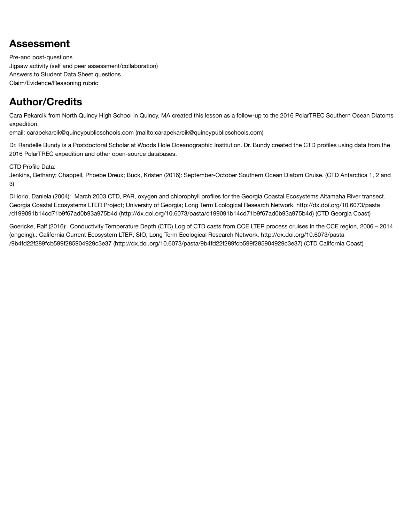## **Assessment**

Pre-and post-questions Jigsaw activity (self and peer assessment/collaboration) Answers to Student Data Sheet questions Claim/Evidence/Reasoning rubric

# **Author/Credits**

Cara Pekarcik from North Quincy High School in Quincy, MA created this lesson as a follow-up to the 2016 PolarTREC Southern Ocean Diatoms expedition.

email: carapekarcik@quincypublicschools.com (mailto:carapekarcik@quincypublicschools.com)

Dr. Randelle Bundy is a Postdoctoral Scholar at Woods Hole Oceanographic Institution. Dr. Bundy created the CTD profiles using data from the 2016 PolarTREC expedition and other open-source databases.

CTD Profile Data:

Jenkins, Bethany; Chappell, Phoebe Dreux; Buck, Kristen (2016): September-October Southern Ocean Diatom Cruise. (CTD Antarctica 1, 2 and 3)

Di Iorio, Daniela (2004): March 2003 CTD, PAR, oxygen and chlorophyll profiles for the Georgia Coastal Ecosystems Altamaha River transect. Georgia Coastal Ecosystems LTER Project; University of Georgia; Long Term Ecological Research Network. http://dx.doi.org/10.6073/pasta /d199091b14cd71b9f67ad0b93a975b4d (http://dx.doi.org/10.6073/pasta/d199091b14cd71b9f67ad0b93a975b4d) (CTD Georgia Coast)

Goericke, Ralf (2016): Conductivity Temperature Depth (CTD) Log of CTD casts from CCE LTER process cruises in the CCE region, 2006 – 2014 (ongoing).. California Current Ecosystem LTER; SIO; Long Term Ecological Research Network. http://dx.doi.org/10.6073/pasta /9b4fd22f289fcb599f285904929c3e37 (http://dx.doi.org/10.6073/pasta/9b4fd22f289fcb599f285904929c3e37) (CTD California Coast)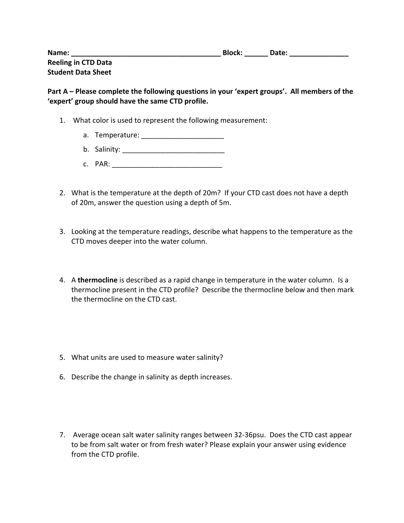| Name:                      | <b>Block:</b> | Date: |
|----------------------------|---------------|-------|
| <b>Reeling in CTD Data</b> |               |       |
| <b>Student Data Sheet</b>  |               |       |

Part A – Please complete the following questions in your 'expert groups'. All members of the 'expert' group should have the same CTD profile.

- 1. What color is used to represent the following measurement:
	- a. Temperature: **with the set of the set of the set of the set of the set of the set of the set of the set of the set of the set of the set of the set of the set of the set of the set of the set of the set of the set of th**
	- b. Salinity: \_\_\_\_\_\_\_\_\_\_\_\_\_\_\_\_\_\_\_\_\_\_\_\_\_\_
	- c. PAR: \_\_\_\_\_\_\_\_\_\_\_\_\_\_\_\_\_\_\_\_\_\_\_\_\_\_\_\_
- 2. What is the temperature at the depth of 20m? If your CTD cast does not have a depth of 20m, answer the question using a depth of 5m.
- 3. Looking at the temperature readings, describe what happens to the temperature as the CTD moves deeper into the water column.
- 4. A **thermocline** is described as a rapid change in temperature in the water column. Is a thermocline present in the CTD profile? Describe the thermocline below and then mark the thermocline on the CTD cast.
- 5. What units are used to measure water salinity?
- 6. Describe the change in salinity as depth increases.
- 7. Average ocean salt water salinity ranges between 32-36psu. Does the CTD cast appear to be from salt water or from fresh water? Please explain your answer using evidence from the CTD profile.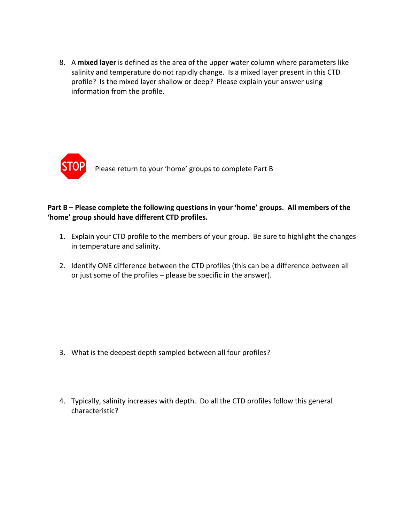8. A mixed layer is defined as the area of the upper water column where parameters like salinity and temperature do not rapidly change. Is a mixed layer present in this CTD profile? Is the mixed layer shallow or deep? Please explain your answer using information from the profile.



### **Part B** – Please complete the following questions in your 'home' groups. All members of the 'home' group should have different CTD profiles.

- 1. Explain your CTD profile to the members of your group. Be sure to highlight the changes in temperature and salinity.
- 2. Identify ONE difference between the CTD profiles (this can be a difference between all or just some of the profiles  $-$  please be specific in the answer).

- 3. What is the deepest depth sampled between all four profiles?
- 4. Typically, salinity increases with depth. Do all the CTD profiles follow this general characteristic?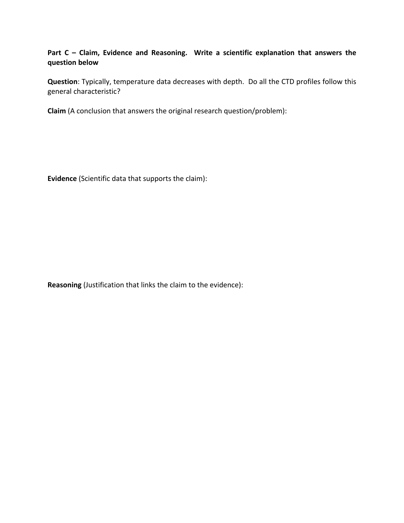### Part C - Claim, Evidence and Reasoning. Write a scientific explanation that answers the **question below**

**Question**: Typically, temperature data decreases with depth. Do all the CTD profiles follow this general characteristic?

**Claim** (A conclusion that answers the original research question/problem):

**Evidence** (Scientific data that supports the claim):

**Reasoning** (Justification that links the claim to the evidence):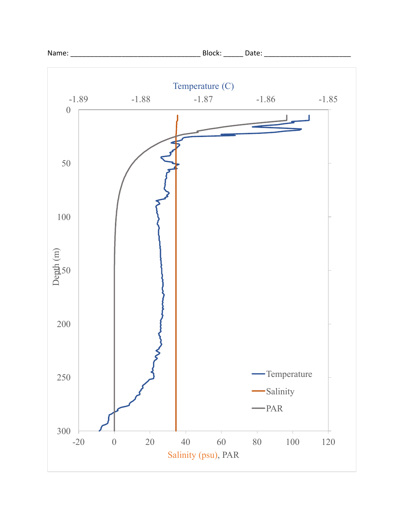

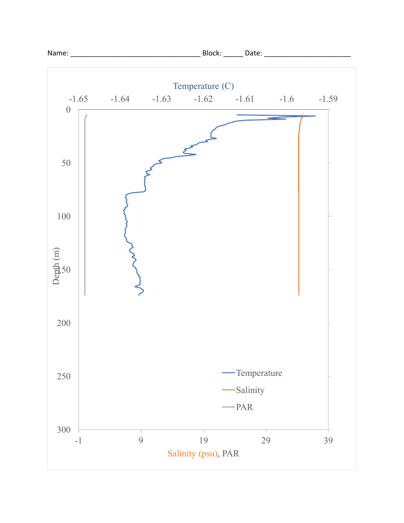

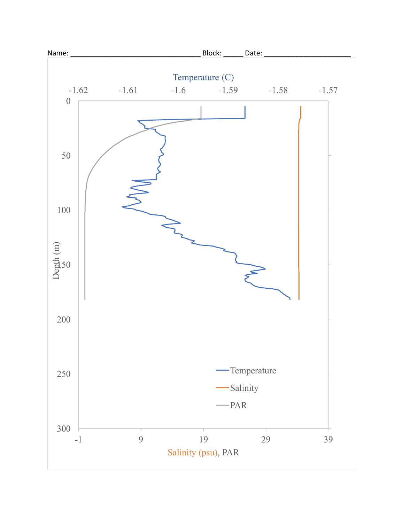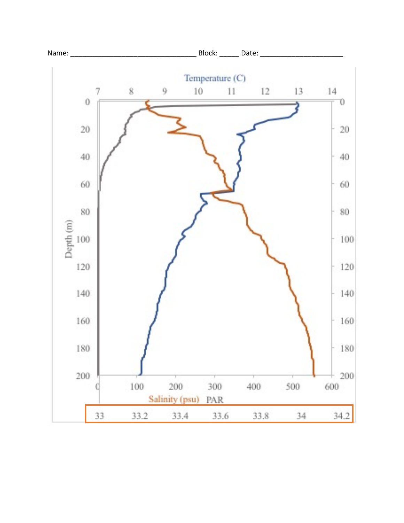